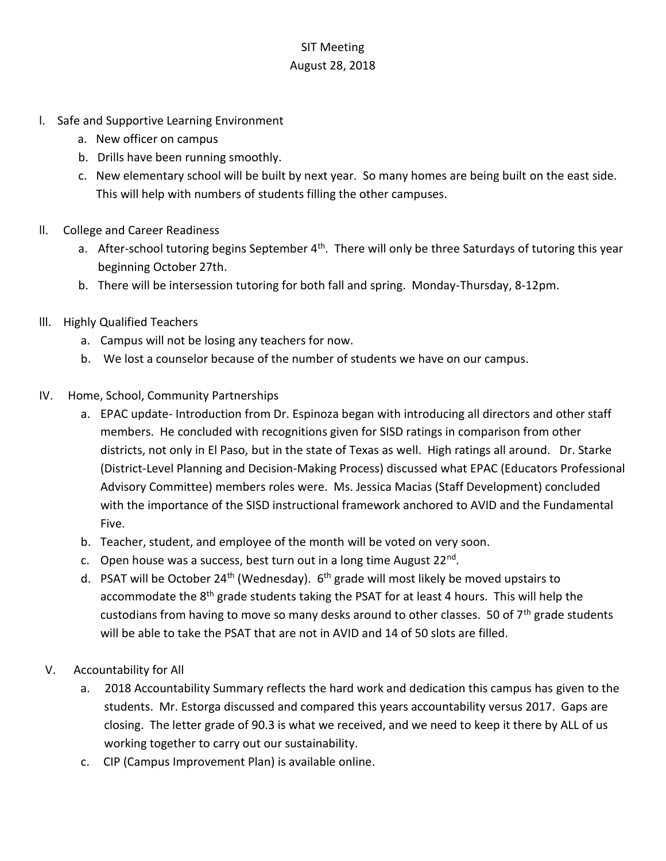## SIT Meeting August 28, 2018

- l. Safe and Supportive Learning Environment
	- a. New officer on campus
	- b. Drills have been running smoothly.
	- c. New elementary school will be built by next year. So many homes are being built on the east side. This will help with numbers of students filling the other campuses.
- ll. College and Career Readiness
	- a. After-school tutoring begins September 4<sup>th</sup>. There will only be three Saturdays of tutoring this year beginning October 27th.
	- b. There will be intersession tutoring for both fall and spring. Monday-Thursday, 8-12pm.
- lll. Highly Qualified Teachers
	- a. Campus will not be losing any teachers for now.
	- b. We lost a counselor because of the number of students we have on our campus.
- IV. Home, School, Community Partnerships
	- a. EPAC update- Introduction from Dr. Espinoza began with introducing all directors and other staff members. He concluded with recognitions given for SISD ratings in comparison from other districts, not only in El Paso, but in the state of Texas as well. High ratings all around. Dr. Starke (District-Level Planning and Decision-Making Process) discussed what EPAC (Educators Professional Advisory Committee) members roles were. Ms. Jessica Macias (Staff Development) concluded with the importance of the SISD instructional framework anchored to AVID and the Fundamental Five.
	- b. Teacher, student, and employee of the month will be voted on very soon.
	- c. Open house was a success, best turn out in a long time August 22<sup>nd</sup>.
	- d. PSAT will be October 24<sup>th</sup> (Wednesday).  $6<sup>th</sup>$  grade will most likely be moved upstairs to accommodate the 8<sup>th</sup> grade students taking the PSAT for at least 4 hours. This will help the custodians from having to move so many desks around to other classes. 50 of  $7<sup>th</sup>$  grade students will be able to take the PSAT that are not in AVID and 14 of 50 slots are filled.
- V. Accountability for All
	- a. 2018 Accountability Summary reflects the hard work and dedication this campus has given to the students. Mr. Estorga discussed and compared this years accountability versus 2017. Gaps are closing. The letter grade of 90.3 is what we received, and we need to keep it there by ALL of us working together to carry out our sustainability.
	- c. CIP (Campus Improvement Plan) is available online.